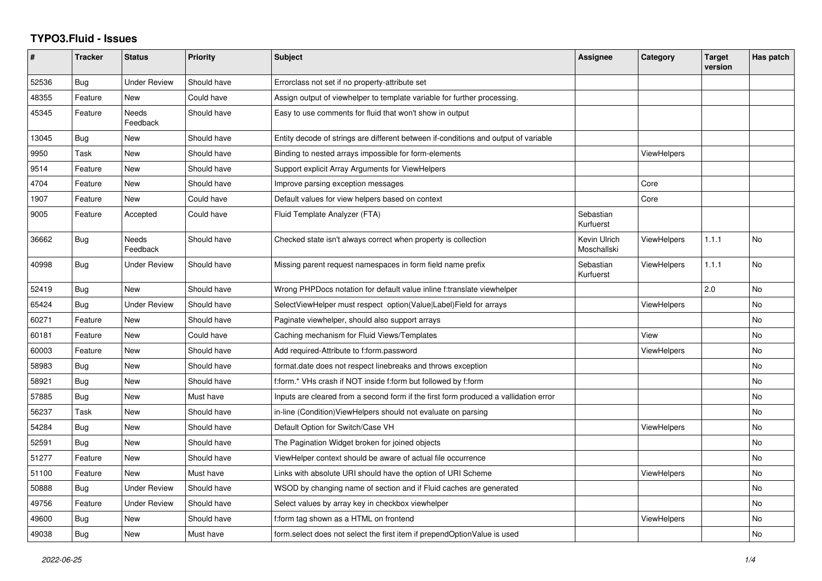## **TYPO3.Fluid - Issues**

| #     | <b>Tracker</b> | <b>Status</b>            | <b>Priority</b> | Subject                                                                              | <b>Assignee</b>             | Category           | <b>Target</b><br>version | Has patch      |
|-------|----------------|--------------------------|-----------------|--------------------------------------------------------------------------------------|-----------------------------|--------------------|--------------------------|----------------|
| 52536 | Bug            | <b>Under Review</b>      | Should have     | Errorclass not set if no property-attribute set                                      |                             |                    |                          |                |
| 48355 | Feature        | New                      | Could have      | Assign output of viewhelper to template variable for further processing.             |                             |                    |                          |                |
| 45345 | Feature        | <b>Needs</b><br>Feedback | Should have     | Easy to use comments for fluid that won't show in output                             |                             |                    |                          |                |
| 13045 | Bug            | New                      | Should have     | Entity decode of strings are different between if-conditions and output of variable  |                             |                    |                          |                |
| 9950  | Task           | New                      | Should have     | Binding to nested arrays impossible for form-elements                                |                             | <b>ViewHelpers</b> |                          |                |
| 9514  | Feature        | New                      | Should have     | Support explicit Array Arguments for ViewHelpers                                     |                             |                    |                          |                |
| 4704  | Feature        | New                      | Should have     | Improve parsing exception messages                                                   |                             | Core               |                          |                |
| 1907  | Feature        | <b>New</b>               | Could have      | Default values for view helpers based on context                                     |                             | Core               |                          |                |
| 9005  | Feature        | Accepted                 | Could have      | Fluid Template Analyzer (FTA)                                                        | Sebastian<br>Kurfuerst      |                    |                          |                |
| 36662 | Bug            | <b>Needs</b><br>Feedback | Should have     | Checked state isn't always correct when property is collection                       | Kevin Ulrich<br>Moschallski | <b>ViewHelpers</b> | 1.1.1                    | No             |
| 40998 | Bug            | <b>Under Review</b>      | Should have     | Missing parent request namespaces in form field name prefix                          | Sebastian<br>Kurfuerst      | ViewHelpers        | 1.1.1                    | No             |
| 52419 | Bug            | New                      | Should have     | Wrong PHPDocs notation for default value inline f:translate viewhelper               |                             |                    | 2.0                      | No             |
| 65424 | Bug            | <b>Under Review</b>      | Should have     | SelectViewHelper must respect option(Value Label)Field for arrays                    |                             | <b>ViewHelpers</b> |                          | N <sub>o</sub> |
| 60271 | Feature        | New                      | Should have     | Paginate viewhelper, should also support arrays                                      |                             |                    |                          | No             |
| 60181 | Feature        | <b>New</b>               | Could have      | Caching mechanism for Fluid Views/Templates                                          |                             | View               |                          | No.            |
| 60003 | Feature        | New                      | Should have     | Add required-Attribute to f:form.password                                            |                             | <b>ViewHelpers</b> |                          | No             |
| 58983 | Bug            | New                      | Should have     | format.date does not respect linebreaks and throws exception                         |                             |                    |                          | No             |
| 58921 | Bug            | New                      | Should have     | f:form.* VHs crash if NOT inside f:form but followed by f:form                       |                             |                    |                          | No             |
| 57885 | Bug            | <b>New</b>               | Must have       | Inputs are cleared from a second form if the first form produced a vallidation error |                             |                    |                          | No             |
| 56237 | Task           | New                      | Should have     | in-line (Condition) View Helpers should not evaluate on parsing                      |                             |                    |                          | No             |
| 54284 | Bug            | <b>New</b>               | Should have     | Default Option for Switch/Case VH                                                    |                             | <b>ViewHelpers</b> |                          | No             |
| 52591 | <b>Bug</b>     | <b>New</b>               | Should have     | The Pagination Widget broken for joined objects                                      |                             |                    |                          | No             |
| 51277 | Feature        | New                      | Should have     | ViewHelper context should be aware of actual file occurrence                         |                             |                    |                          | No             |
| 51100 | Feature        | <b>New</b>               | Must have       | Links with absolute URI should have the option of URI Scheme                         |                             | <b>ViewHelpers</b> |                          | No             |
| 50888 | Bug            | <b>Under Review</b>      | Should have     | WSOD by changing name of section and if Fluid caches are generated                   |                             |                    |                          | No             |
| 49756 | Feature        | <b>Under Review</b>      | Should have     | Select values by array key in checkbox viewhelper                                    |                             |                    |                          | No             |
| 49600 | Bug            | New                      | Should have     | f:form tag shown as a HTML on frontend                                               |                             | <b>ViewHelpers</b> |                          | No             |
| 49038 | Bug            | <b>New</b>               | Must have       | form select does not select the first item if prependOptionValue is used             |                             |                    |                          | No             |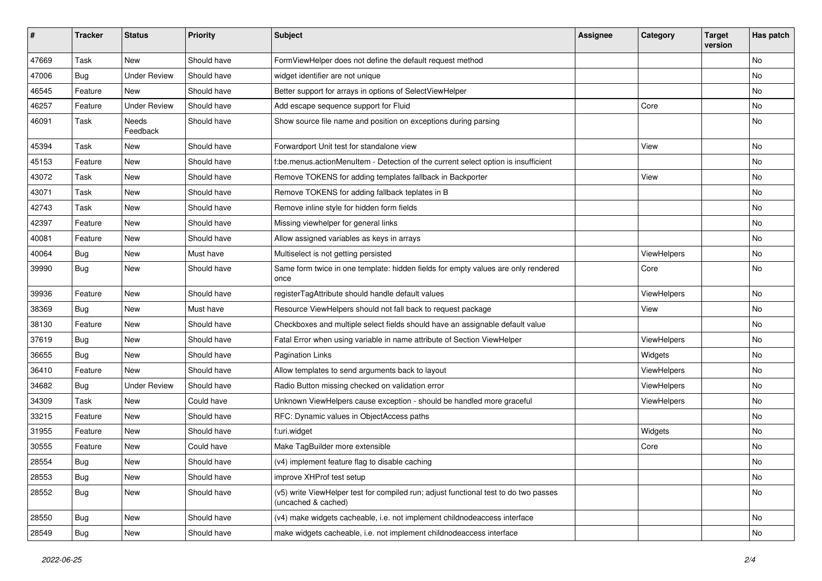| #     | <b>Tracker</b> | <b>Status</b>       | <b>Priority</b> | <b>Subject</b>                                                                                              | <b>Assignee</b> | Category    | <b>Target</b><br>version | Has patch |
|-------|----------------|---------------------|-----------------|-------------------------------------------------------------------------------------------------------------|-----------------|-------------|--------------------------|-----------|
| 47669 | Task           | New                 | Should have     | FormViewHelper does not define the default request method                                                   |                 |             |                          | <b>No</b> |
| 47006 | Bug            | <b>Under Review</b> | Should have     | widget identifier are not unique                                                                            |                 |             |                          | No        |
| 46545 | Feature        | New                 | Should have     | Better support for arrays in options of SelectViewHelper                                                    |                 |             |                          | No        |
| 46257 | Feature        | <b>Under Review</b> | Should have     | Add escape sequence support for Fluid                                                                       |                 | Core        |                          | No        |
| 46091 | Task           | Needs<br>Feedback   | Should have     | Show source file name and position on exceptions during parsing                                             |                 |             |                          | No        |
| 45394 | Task           | New                 | Should have     | Forwardport Unit test for standalone view                                                                   |                 | View        |                          | No        |
| 45153 | Feature        | <b>New</b>          | Should have     | f:be.menus.actionMenuItem - Detection of the current select option is insufficient                          |                 |             |                          | No        |
| 43072 | Task           | New                 | Should have     | Remove TOKENS for adding templates fallback in Backporter                                                   |                 | View        |                          | No        |
| 43071 | Task           | New                 | Should have     | Remove TOKENS for adding fallback teplates in B                                                             |                 |             |                          | No        |
| 42743 | Task           | New                 | Should have     | Remove inline style for hidden form fields                                                                  |                 |             |                          | <b>No</b> |
| 42397 | Feature        | New                 | Should have     | Missing viewhelper for general links                                                                        |                 |             |                          | No        |
| 40081 | Feature        | New                 | Should have     | Allow assigned variables as keys in arrays                                                                  |                 |             |                          | No        |
| 40064 | Bug            | New                 | Must have       | Multiselect is not getting persisted                                                                        |                 | ViewHelpers |                          | No        |
| 39990 | Bug            | New                 | Should have     | Same form twice in one template: hidden fields for empty values are only rendered<br>once                   |                 | Core        |                          | No        |
| 39936 | Feature        | New                 | Should have     | registerTagAttribute should handle default values                                                           |                 | ViewHelpers |                          | <b>No</b> |
| 38369 | Bug            | New                 | Must have       | Resource ViewHelpers should not fall back to request package                                                |                 | View        |                          | No        |
| 38130 | Feature        | New                 | Should have     | Checkboxes and multiple select fields should have an assignable default value                               |                 |             |                          | <b>No</b> |
| 37619 | Bug            | New                 | Should have     | Fatal Error when using variable in name attribute of Section ViewHelper                                     |                 | ViewHelpers |                          | No        |
| 36655 | Bug            | New                 | Should have     | <b>Pagination Links</b>                                                                                     |                 | Widgets     |                          | No        |
| 36410 | Feature        | New                 | Should have     | Allow templates to send arguments back to layout                                                            |                 | ViewHelpers |                          | No        |
| 34682 | Bug            | <b>Under Review</b> | Should have     | Radio Button missing checked on validation error                                                            |                 | ViewHelpers |                          | No        |
| 34309 | Task           | New                 | Could have      | Unknown ViewHelpers cause exception - should be handled more graceful                                       |                 | ViewHelpers |                          | No        |
| 33215 | Feature        | New                 | Should have     | RFC: Dynamic values in ObjectAccess paths                                                                   |                 |             |                          | No        |
| 31955 | Feature        | New                 | Should have     | f:uri.widget                                                                                                |                 | Widgets     |                          | <b>No</b> |
| 30555 | Feature        | New                 | Could have      | Make TagBuilder more extensible                                                                             |                 | Core        |                          | No        |
| 28554 | Bug            | New                 | Should have     | (v4) implement feature flag to disable caching                                                              |                 |             |                          | No        |
| 28553 | <b>Bug</b>     | New                 | Should have     | improve XHProf test setup                                                                                   |                 |             |                          | No        |
| 28552 | <b>Bug</b>     | New                 | Should have     | (v5) write ViewHelper test for compiled run; adjust functional test to do two passes<br>(uncached & cached) |                 |             |                          | No        |
| 28550 | <b>Bug</b>     | New                 | Should have     | (v4) make widgets cacheable, i.e. not implement childnodeaccess interface                                   |                 |             |                          | No        |
| 28549 | <b>Bug</b>     | New                 | Should have     | make widgets cacheable, i.e. not implement childnodeaccess interface                                        |                 |             |                          | No        |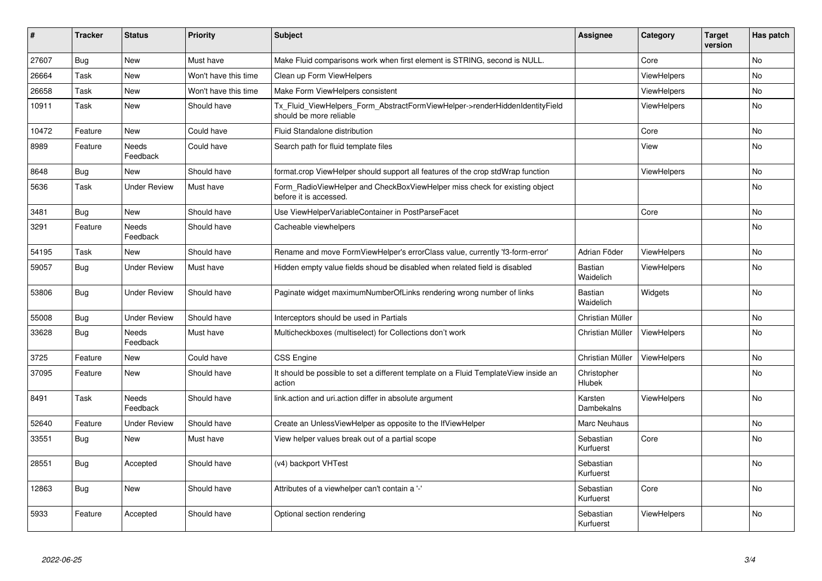| #     | <b>Tracker</b> | <b>Status</b>            | <b>Priority</b>      | <b>Subject</b>                                                                                         | <b>Assignee</b>             | Category           | <b>Target</b><br>version | Has patch |
|-------|----------------|--------------------------|----------------------|--------------------------------------------------------------------------------------------------------|-----------------------------|--------------------|--------------------------|-----------|
| 27607 | Bug            | New                      | Must have            | Make Fluid comparisons work when first element is STRING, second is NULL.                              |                             | Core               |                          | <b>No</b> |
| 26664 | Task           | New                      | Won't have this time | Clean up Form ViewHelpers                                                                              |                             | <b>ViewHelpers</b> |                          | No        |
| 26658 | Task           | New                      | Won't have this time | Make Form ViewHelpers consistent                                                                       |                             | ViewHelpers        |                          | No        |
| 10911 | Task           | <b>New</b>               | Should have          | Tx Fluid ViewHelpers Form AbstractFormViewHelper->renderHiddenIdentityField<br>should be more reliable |                             | <b>ViewHelpers</b> |                          | <b>No</b> |
| 10472 | Feature        | New                      | Could have           | Fluid Standalone distribution                                                                          |                             | Core               |                          | <b>No</b> |
| 8989  | Feature        | Needs<br>Feedback        | Could have           | Search path for fluid template files                                                                   |                             | View               |                          | No        |
| 8648  | Bug            | New                      | Should have          | format.crop ViewHelper should support all features of the crop stdWrap function                        |                             | ViewHelpers        |                          | No        |
| 5636  | Task           | <b>Under Review</b>      | Must have            | Form RadioViewHelper and CheckBoxViewHelper miss check for existing object<br>before it is accessed.   |                             |                    |                          | No        |
| 3481  | <b>Bug</b>     | New                      | Should have          | Use ViewHelperVariableContainer in PostParseFacet                                                      |                             | Core               |                          | No        |
| 3291  | Feature        | <b>Needs</b><br>Feedback | Should have          | Cacheable viewhelpers                                                                                  |                             |                    |                          | <b>No</b> |
| 54195 | Task           | New                      | Should have          | Rename and move FormViewHelper's errorClass value, currently 'f3-form-error'                           | Adrian Föder                | <b>ViewHelpers</b> |                          | No        |
| 59057 | <b>Bug</b>     | <b>Under Review</b>      | Must have            | Hidden empty value fields shoud be disabled when related field is disabled                             | <b>Bastian</b><br>Waidelich | ViewHelpers        |                          | No        |
| 53806 | Bug            | <b>Under Review</b>      | Should have          | Paginate widget maximumNumberOfLinks rendering wrong number of links                                   | <b>Bastian</b><br>Waidelich | Widgets            |                          | No        |
| 55008 | Bug            | <b>Under Review</b>      | Should have          | Interceptors should be used in Partials                                                                | Christian Müller            |                    |                          | No        |
| 33628 | <b>Bug</b>     | Needs<br>Feedback        | Must have            | Multicheckboxes (multiselect) for Collections don't work                                               | Christian Müller            | <b>ViewHelpers</b> |                          | No        |
| 3725  | Feature        | New                      | Could have           | <b>CSS Engine</b>                                                                                      | Christian Müller            | <b>ViewHelpers</b> |                          | <b>No</b> |
| 37095 | Feature        | <b>New</b>               | Should have          | It should be possible to set a different template on a Fluid TemplateView inside an<br>action          | Christopher<br>Hlubek       |                    |                          | <b>No</b> |
| 8491  | Task           | Needs<br>Feedback        | Should have          | link.action and uri.action differ in absolute argument                                                 | Karsten<br>Dambekalns       | <b>ViewHelpers</b> |                          | <b>No</b> |
| 52640 | Feature        | <b>Under Review</b>      | Should have          | Create an UnlessViewHelper as opposite to the IfViewHelper                                             | Marc Neuhaus                |                    |                          | <b>No</b> |
| 33551 | Bug            | New                      | Must have            | View helper values break out of a partial scope                                                        | Sebastian<br>Kurfuerst      | Core               |                          | <b>No</b> |
| 28551 | <b>Bug</b>     | Accepted                 | Should have          | (v4) backport VHTest                                                                                   | Sebastian<br>Kurfuerst      |                    |                          | <b>No</b> |
| 12863 | <b>Bug</b>     | New                      | Should have          | Attributes of a viewhelper can't contain a '-'                                                         | Sebastian<br>Kurfuerst      | Core               |                          | <b>No</b> |
| 5933  | Feature        | Accepted                 | Should have          | Optional section rendering                                                                             | Sebastian<br>Kurfuerst      | <b>ViewHelpers</b> |                          | <b>No</b> |